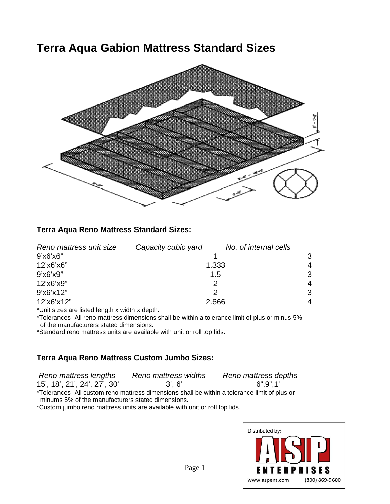# **Terra Aqua Gabion Mattress Standard Sizes**



## **Terra Aqua Reno Mattress Standard Sizes:**

| Reno mattress unit size | Capacity cubic yard | No. of internal cells |  |
|-------------------------|---------------------|-----------------------|--|
| 9'x6'x6"                |                     |                       |  |
| 12'x6'x6"               | 1.333               |                       |  |
| 9'x6'x9"                | 1.5                 |                       |  |
| 12'x6'x9"               |                     |                       |  |
| 9'x6'x12"               |                     | ◠                     |  |
| 12'x6'x12"              | 2.666               |                       |  |

\*Unit sizes are listed length x width x depth.

\*Tolerances- All reno mattress dimensions shall be within a tolerance limit of plus or minus 5% of the manufacturers stated dimensions.

\*Standard reno mattress units are available with unit or roll top lids.

### **Terra Aqua Reno Mattress Custom Jumbo Sizes:**

| Reno mattress lengths        | Reno mattress widths | Reno mattress depths |
|------------------------------|----------------------|----------------------|
| 15', 18', 21', 24', 27', 30' | $3^{\prime}$ . 6'    | 6", 9", 1"           |
|                              |                      |                      |

\*Tolerances- All custom reno mattress dimensions shall be within a tolerance limit of plus or minums 5% of the manufacturers stated dimensions.

\*Custom jumbo reno mattress units are available with unit or roll top lids.